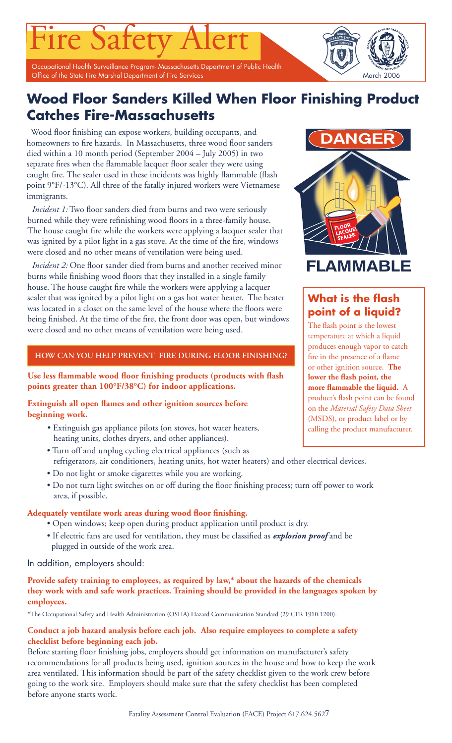Occupational Health Surveillance Program- Massachusetts Department of Public Health Office of the State Fire Marshal Department of Fire Services March 2006

'ire Safety

# **Wood Floor Sanders Killed When Floor Finishing Product Catches Fire-Massachusetts**

Wood floor finishing can expose workers, building occupants, and homeowners to fire hazards. In Massachusetts, three wood floor sanders died within a 10 month period (September 2004 – July 2005) in two separate fires when the flammable lacquer floor sealer they were using caught fire. The sealer used in these incidents was highly flammable (flash point 9°F/-13°C). All three of the fatally injured workers were Vietnamese immigrants.

*Incident 1:* Two floor sanders died from burns and two were seriously burned while they were refinishing wood floors in a three-family house. The house caught fire while the workers were applying a lacquer sealer that was ignited by a pilot light in a gas stove. At the time of the fire, windows were closed and no other means of ventilation were being used.

*Incident 2:* One floor sander died from burns and another received minor burns while finishing wood floors that they installed in a single family house. The house caught fire while the workers were applying a lacquer sealer that was ignited by a pilot light on a gas hot water heater. The heater was located in a closet on the same level of the house where the floors were being finished. At the time of the fire, the front door was open, but windows were closed and no other means of ventilation were being used.

# **HOW CAN YOU HELP PREVENT FIRE DURING FLOOR FINISHING?**

Use less flammable wood floor finishing products (products with flash **points greater than 100°F/38°C) for indoor applications.**

**Extinguish all open flames and other ignition sources before beginning work.**

- Extinguish gas appliance pilots (on stoves, hot water heaters, heating units, clothes dryers, and other appliances).
- Turn off and unplug cycling electrical appliances (such as refrigerators, air conditioners, heating units, hot water heaters) and other electrical devices.
- Do not light or smoke cigarettes while you are working.
- Do not turn light switches on or off during the floor finishing process; turn off power to work area, if possible.

# Adequately ventilate work areas during wood floor finishing.

- Open windows; keep open during product application until product is dry.
- If electric fans are used for ventilation, they must be classified as **explosion proof** and be plugged in outside of the work area.

In addition, employers should:

# **Provide safety training to employees, as required by law,\* about the hazards of the chemicals they work with and safe work practices. Training should be provided in the languages spoken by employees.**

\*The Occupational Safety and Health Administration (OSHA) Hazard Communication Standard (29 CFR 1910.1200).

# **Conduct a job hazard analysis before each job. Also require employees to complete a safety checklist before beginning each job.**

Before starting floor finishing jobs, employers should get information on manufacturer's safety recommendations for all products being used, ignition sources in the house and how to keep the work area ventilated. This information should be part of the safety checklist given to the work crew before going to the work site. Employers should make sure that the safety checklist has been completed before anyone starts work.



# **What is the flash point of a liquid?**

The flash point is the lowest temperature at which a liquid produces enough vapor to catch fire in the presence of a flame or other ignition source. **The**  lower the flash point, the more flammable the liquid. A product's flash point can be found on the *Material Safety Data Sheet* (MSDS), or product label or by calling the product manufacturer.